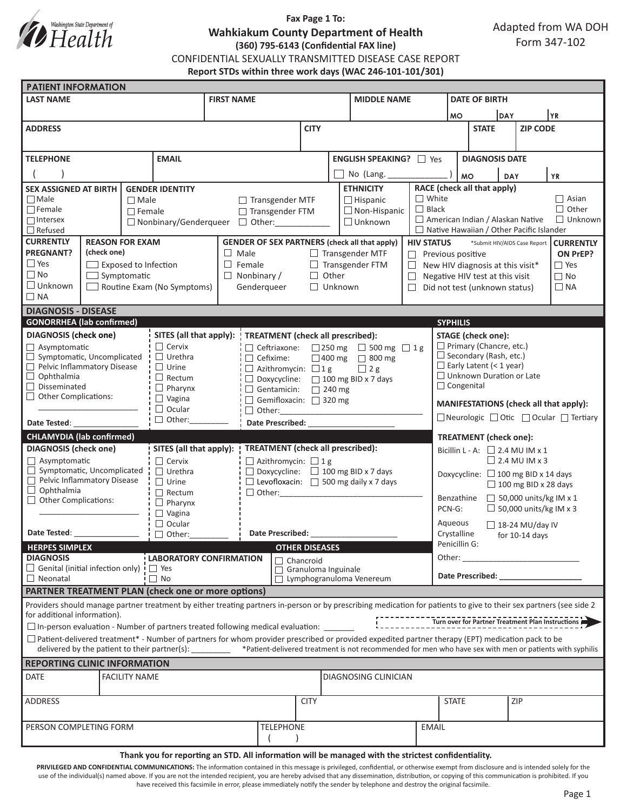

## **Fax Page 1 To: Wahkiakum County Department of Health (360) 795-6143 (Confidential FAX line)** CONFIDENTIAL SEXUALLY TRANSMITTED DISEASE CASE REPORT **Report STDs within three work days (WAC 246-101-101/301)**

| <b>PATIENT INFORMATION</b>                                                                                     |                       |                |                                                             |                                                   |                                                               |                                                                                                                                                                                                                                |                                       |                                                                                                                                                                     |                                                                       |                                                                                                                                                                                                                                |                                                      |                           |     |                                                   |  |
|----------------------------------------------------------------------------------------------------------------|-----------------------|----------------|-------------------------------------------------------------|---------------------------------------------------|---------------------------------------------------------------|--------------------------------------------------------------------------------------------------------------------------------------------------------------------------------------------------------------------------------|---------------------------------------|---------------------------------------------------------------------------------------------------------------------------------------------------------------------|-----------------------------------------------------------------------|--------------------------------------------------------------------------------------------------------------------------------------------------------------------------------------------------------------------------------|------------------------------------------------------|---------------------------|-----|---------------------------------------------------|--|
| <b>LAST NAME</b>                                                                                               |                       |                | <b>FIRST NAME</b>                                           |                                                   |                                                               |                                                                                                                                                                                                                                | <b>MIDDLE NAME</b>                    |                                                                                                                                                                     |                                                                       | <b>DATE OF BIRTH</b>                                                                                                                                                                                                           |                                                      |                           |     |                                                   |  |
|                                                                                                                |                       |                |                                                             |                                                   |                                                               |                                                                                                                                                                                                                                |                                       | <b>MO</b>                                                                                                                                                           |                                                                       | DAY                                                                                                                                                                                                                            |                                                      | YR)                       |     |                                                   |  |
| <b>ADDRESS</b>                                                                                                 |                       |                |                                                             |                                                   | <b>CITY</b>                                                   |                                                                                                                                                                                                                                |                                       |                                                                                                                                                                     |                                                                       | <b>STATE</b>                                                                                                                                                                                                                   |                                                      | <b>ZIP CODE</b>           |     |                                                   |  |
|                                                                                                                |                       |                |                                                             |                                                   |                                                               |                                                                                                                                                                                                                                |                                       |                                                                                                                                                                     |                                                                       |                                                                                                                                                                                                                                |                                                      |                           |     |                                                   |  |
| <b>EMAIL</b><br><b>TELEPHONE</b>                                                                               |                       |                |                                                             |                                                   | <b>ENGLISH SPEAKING?</b> □ Yes                                |                                                                                                                                                                                                                                |                                       |                                                                                                                                                                     |                                                                       |                                                                                                                                                                                                                                | <b>DIAGNOSIS DATE</b>                                |                           |     |                                                   |  |
|                                                                                                                |                       |                |                                                             |                                                   |                                                               |                                                                                                                                                                                                                                |                                       |                                                                                                                                                                     |                                                                       |                                                                                                                                                                                                                                |                                                      |                           |     |                                                   |  |
|                                                                                                                |                       |                |                                                             |                                                   |                                                               |                                                                                                                                                                                                                                |                                       | No (Lang. $\frac{1}{2}$                                                                                                                                             |                                                                       |                                                                                                                                                                                                                                | <b>MO</b><br><b>YR</b><br><b>DAY</b>                 |                           |     |                                                   |  |
| <b>SEX ASSIGNED AT BIRTH</b><br>$\Box$ Male                                                                    |                       |                | <b>GENDER IDENTITY</b>                                      |                                                   | <b>ETHNICITY</b><br>$\Box$ Transgender MTF<br>$\Box$ Hispanic |                                                                                                                                                                                                                                |                                       |                                                                                                                                                                     | RACE (check all that apply)<br>$\Box$ White<br>$\Box$ Asian           |                                                                                                                                                                                                                                |                                                      |                           |     |                                                   |  |
| $\Box$ Male<br>$\Box$ Female<br>$\Box$ Female                                                                  |                       |                |                                                             |                                                   |                                                               | $\Box$ Non-Hispanic<br>□ Transgender FTM                                                                                                                                                                                       |                                       |                                                                                                                                                                     | $\Box$ Black                                                          | $\Box$ Other                                                                                                                                                                                                                   |                                                      |                           |     |                                                   |  |
| $\Box$ Intersex                                                                                                |                       |                |                                                             |                                                   |                                                               | $\Box$ Unknown<br>□ Nonbinary/Genderqueer □ Other:                                                                                                                                                                             |                                       |                                                                                                                                                                     |                                                                       | $\Box$ American Indian / Alaskan Native<br>$\Box$ Unknown                                                                                                                                                                      |                                                      |                           |     |                                                   |  |
| $\Box$ Refused                                                                                                 |                       |                |                                                             |                                                   |                                                               |                                                                                                                                                                                                                                |                                       |                                                                                                                                                                     |                                                                       | $\Box$ Native Hawaiian / Other Pacific Islander                                                                                                                                                                                |                                                      |                           |     |                                                   |  |
| <b>CURRENTLY</b><br><b>REASON FOR EXAM</b>                                                                     |                       |                |                                                             |                                                   | <b>GENDER OF SEX PARTNERS (check all that apply)</b>          |                                                                                                                                                                                                                                |                                       |                                                                                                                                                                     | <b>HIV STATUS</b><br>*Submit HIV/AIDS Case Report<br><b>CURRENTLY</b> |                                                                                                                                                                                                                                |                                                      |                           |     |                                                   |  |
| <b>PREGNANT?</b><br>(check one)                                                                                |                       |                |                                                             | $\Box$ Male                                       |                                                               | $\Box$ Transgender MTF<br>$\Box$                                                                                                                                                                                               |                                       |                                                                                                                                                                     |                                                                       | Previous positive<br>ON PrEP?                                                                                                                                                                                                  |                                                      |                           |     |                                                   |  |
| $\Box$ Yes<br>$\Box$ Exposed to Infection<br>$\Box$ No                                                         |                       |                |                                                             | $\Box$ Female                                     |                                                               | $\Box$ Transgender FTM                                                                                                                                                                                                         |                                       |                                                                                                                                                                     |                                                                       | $\Box$ Yes<br>$\Box$ New HIV diagnosis at this visit*                                                                                                                                                                          |                                                      |                           |     |                                                   |  |
| $\Box$ Symptomatic<br>$\Box$ Unknown<br>$\Box$ Routine Exam (No Symptoms)                                      |                       |                |                                                             |                                                   | $\Box$ Nonbinary /<br>Genderqueer                             | $\Box$ Other<br>$\Box$<br>$\Box$ Unknown<br>$\Box$                                                                                                                                                                             |                                       |                                                                                                                                                                     |                                                                       | $\Box$ No<br>Negative HIV test at this visit<br>Did not test (unknown status)<br>$\Box$ NA                                                                                                                                     |                                                      |                           |     |                                                   |  |
| $\Box$ NA                                                                                                      |                       |                |                                                             |                                                   |                                                               |                                                                                                                                                                                                                                |                                       |                                                                                                                                                                     |                                                                       |                                                                                                                                                                                                                                |                                                      |                           |     |                                                   |  |
| <b>DIAGNOSIS - DISEASE</b>                                                                                     |                       |                |                                                             |                                                   |                                                               |                                                                                                                                                                                                                                |                                       |                                                                                                                                                                     |                                                                       |                                                                                                                                                                                                                                |                                                      |                           |     |                                                   |  |
| <b>GONORRHEA</b> (lab confirmed)                                                                               |                       |                |                                                             |                                                   |                                                               |                                                                                                                                                                                                                                |                                       |                                                                                                                                                                     |                                                                       | <b>SYPHILIS</b>                                                                                                                                                                                                                |                                                      |                           |     |                                                   |  |
| <b>DIAGNOSIS</b> (check one)                                                                                   |                       |                | SITES (all that apply): ' TREATMENT (check all prescribed): |                                                   |                                                               |                                                                                                                                                                                                                                |                                       |                                                                                                                                                                     |                                                                       |                                                                                                                                                                                                                                |                                                      | <b>STAGE</b> (check one): |     |                                                   |  |
| Asymptomatic                                                                                                   |                       |                | $\Box$ Cervix                                               |                                                   |                                                               | □ Ceftriaxone: □ 250 mg □ 500 mg □ 1 g                                                                                                                                                                                         |                                       |                                                                                                                                                                     |                                                                       |                                                                                                                                                                                                                                | $\Box$ Primary (Chancre, etc.)                       |                           |     |                                                   |  |
| Symptomatic, Uncomplicated<br>□                                                                                |                       |                | $\Box$ Urethra                                              |                                                   | $\Box$ Cefixime:                                              | □ 400 mg □ 800 mg                                                                                                                                                                                                              |                                       |                                                                                                                                                                     |                                                                       |                                                                                                                                                                                                                                | $\Box$ Secondary (Rash, etc.)                        |                           |     |                                                   |  |
| Pelvic Inflammatory Disease                                                                                    |                       |                | $\Box$ Urine                                                |                                                   |                                                               | $\Box$ Azithromycin: $\Box$ 1 g<br>$\Box$ 2 g                                                                                                                                                                                  |                                       |                                                                                                                                                                     |                                                                       |                                                                                                                                                                                                                                | $\Box$ Early Latent (< 1 year)                       |                           |     |                                                   |  |
| $\Box$ Ophthalmia<br>П<br>Disseminated                                                                         |                       |                | $\Box$ Rectum<br>$\Box$ Pharynx                             |                                                   |                                                               | □ Doxycycline: □ 100 mg BID x 7 days                                                                                                                                                                                           |                                       |                                                                                                                                                                     |                                                                       |                                                                                                                                                                                                                                | $\Box$ Unknown Duration or Late<br>$\Box$ Congenital |                           |     |                                                   |  |
| <b>Other Complications:</b><br>□                                                                               |                       |                | $\Box$ Vagina                                               |                                                   |                                                               | $\Box$ Gentamicin: $\Box$ 240 mg<br>Gemifloxacin: 320 mg                                                                                                                                                                       |                                       |                                                                                                                                                                     |                                                                       |                                                                                                                                                                                                                                |                                                      |                           |     |                                                   |  |
|                                                                                                                |                       |                | $\Box$ Ocular                                               |                                                   |                                                               |                                                                                                                                                                                                                                |                                       |                                                                                                                                                                     |                                                                       | MANIFESTATIONS (check all that apply):                                                                                                                                                                                         |                                                      |                           |     |                                                   |  |
| Date Tested: Note that the state of the state of the state of the state of the state of the state of the state |                       |                | $\Box$ Other:                                               |                                                   |                                                               |                                                                                                                                                                                                                                | Date Prescribed: National Prescribed: |                                                                                                                                                                     |                                                                       | □ Neurologic □ Otic □ Ocular □ Tertiary                                                                                                                                                                                        |                                                      |                           |     |                                                   |  |
| <b>CHLAMYDIA (lab confirmed)</b>                                                                               |                       |                |                                                             |                                                   |                                                               |                                                                                                                                                                                                                                |                                       |                                                                                                                                                                     |                                                                       | <b>TREATMENT</b> (check one):                                                                                                                                                                                                  |                                                      |                           |     |                                                   |  |
| <b>DIAGNOSIS (check one)</b>                                                                                   |                       |                | SITES (all that apply):                                     |                                                   |                                                               | <b>TREATMENT</b> (check all prescribed):                                                                                                                                                                                       |                                       |                                                                                                                                                                     |                                                                       | Bicillin L - A: $\Box$ 2.4 MU IM x 1                                                                                                                                                                                           |                                                      |                           |     |                                                   |  |
| $\Box$ Asymptomatic                                                                                            |                       |                | $\Box$ Cervix                                               |                                                   | $\Box$ Azithromycin: $\Box$ 1 g                               |                                                                                                                                                                                                                                |                                       |                                                                                                                                                                     |                                                                       | $\Box$ 2.4 MU IM x 3                                                                                                                                                                                                           |                                                      |                           |     |                                                   |  |
| $\Box$ Symptomatic, Uncomplicated                                                                              |                       | $\Box$ Urethra |                                                             | $\Box$ Doxycycline: $\Box$ 100 mg BID x 7 days    |                                                               |                                                                                                                                                                                                                                |                                       |                                                                                                                                                                     | Doxycycline: □ 100 mg BID x 14 days                                   |                                                                                                                                                                                                                                |                                                      |                           |     |                                                   |  |
| Pelvic Inflammatory Disease<br>$\Box$ Ophthalmia                                                               |                       | $\Box$ Urine   |                                                             | $\Box$ Levofloxacin: $\Box$ 500 mg daily x 7 days |                                                               |                                                                                                                                                                                                                                |                                       |                                                                                                                                                                     | $\Box$ 100 mg BID x 28 days                                           |                                                                                                                                                                                                                                |                                                      |                           |     |                                                   |  |
| $\Box$ Other Complications:                                                                                    |                       |                | $\Box$ Rectum<br>$\Box$ Pharynx                             |                                                   | $\Box$ Other:                                                 |                                                                                                                                                                                                                                |                                       |                                                                                                                                                                     |                                                                       | $\Box$ 50,000 units/kg IM x 1<br>Benzathine                                                                                                                                                                                    |                                                      |                           |     |                                                   |  |
|                                                                                                                |                       |                | $\Box$ Vagina                                               |                                                   |                                                               |                                                                                                                                                                                                                                |                                       |                                                                                                                                                                     |                                                                       |                                                                                                                                                                                                                                | $\Box$ 50,000 units/kg IM x 3<br>PCN-G:              |                           |     |                                                   |  |
|                                                                                                                |                       |                | $\Box$ Ocular                                               |                                                   |                                                               |                                                                                                                                                                                                                                |                                       |                                                                                                                                                                     |                                                                       |                                                                                                                                                                                                                                | Aqueous<br>$\Box$ 18-24 MU/day IV                    |                           |     |                                                   |  |
| Date Tested: __________________                                                                                |                       |                | $\Box$ Other:                                               |                                                   |                                                               | Date Prescribed: Note that the present of the state of the state of the state of the state of the state of the state of the state of the state of the state of the state of the state of the state of the state of the state o |                                       |                                                                                                                                                                     |                                                                       | Crystalline<br>for $10-14$ days                                                                                                                                                                                                |                                                      |                           |     |                                                   |  |
| <b>HERPES SIMPLEX</b>                                                                                          | <b>OTHER DISEASES</b> |                |                                                             |                                                   |                                                               |                                                                                                                                                                                                                                | Penicillin G:                         |                                                                                                                                                                     |                                                                       |                                                                                                                                                                                                                                |                                                      |                           |     |                                                   |  |
| <b>DIAGNOSIS</b><br>$\Box$ Genital (initial infection only) $\Box$ Yes                                         |                       |                | LABORATORY CONFIRMATION                                     |                                                   |                                                               | $\Box$ Chancroid                                                                                                                                                                                                               |                                       |                                                                                                                                                                     |                                                                       | Other:<br>the control of the control of the                                                                                                                                                                                    |                                                      |                           |     |                                                   |  |
| $\Box$ Neonatal                                                                                                |                       |                | $\Box$ No                                                   |                                                   | Granuloma Inguinale<br>Lymphogranuloma Venereum               |                                                                                                                                                                                                                                |                                       |                                                                                                                                                                     |                                                                       | Date Prescribed: Note that the present of the state of the state of the state of the state of the state of the state of the state of the state of the state of the state of the state of the state of the state of the state o |                                                      |                           |     |                                                   |  |
| <b>PARTNER TREATMENT PLAN (check one or more options)</b>                                                      |                       |                |                                                             |                                                   |                                                               |                                                                                                                                                                                                                                |                                       |                                                                                                                                                                     |                                                                       |                                                                                                                                                                                                                                |                                                      |                           |     |                                                   |  |
|                                                                                                                |                       |                |                                                             |                                                   |                                                               |                                                                                                                                                                                                                                |                                       | Providers should manage partner treatment by either treating partners in-person or by prescribing medication for patients to give to their sex partners (see side 2 |                                                                       |                                                                                                                                                                                                                                |                                                      |                           |     |                                                   |  |
| for additional information).                                                                                   |                       |                |                                                             |                                                   |                                                               |                                                                                                                                                                                                                                |                                       |                                                                                                                                                                     |                                                                       |                                                                                                                                                                                                                                |                                                      |                           |     |                                                   |  |
| $\Box$ In-person evaluation - Number of partners treated following medical evaluation:                         |                       |                |                                                             |                                                   |                                                               |                                                                                                                                                                                                                                |                                       |                                                                                                                                                                     |                                                                       |                                                                                                                                                                                                                                |                                                      |                           |     | Turn over for Partner Treatment Plan Instructions |  |
|                                                                                                                |                       |                |                                                             |                                                   |                                                               |                                                                                                                                                                                                                                |                                       | $\Box$ Patient-delivered treatment* - Number of partners for whom provider prescribed or provided expedited partner therapy (EPT) medication pack to be             |                                                                       |                                                                                                                                                                                                                                |                                                      |                           |     |                                                   |  |
|                                                                                                                |                       |                | delivered by the patient to their partner(s):               |                                                   |                                                               |                                                                                                                                                                                                                                |                                       | *Patient-delivered treatment is not recommended for men who have sex with men or patients with syphilis                                                             |                                                                       |                                                                                                                                                                                                                                |                                                      |                           |     |                                                   |  |
| <b>REPORTING CLINIC INFORMATION</b>                                                                            |                       |                |                                                             |                                                   |                                                               |                                                                                                                                                                                                                                |                                       |                                                                                                                                                                     |                                                                       |                                                                                                                                                                                                                                |                                                      |                           |     |                                                   |  |
| DATE<br><b>FACILITY NAME</b>                                                                                   |                       |                |                                                             |                                                   |                                                               | DIAGNOSING CLINICIAN                                                                                                                                                                                                           |                                       |                                                                                                                                                                     |                                                                       |                                                                                                                                                                                                                                |                                                      |                           |     |                                                   |  |
| ADDRESS                                                                                                        |                       |                |                                                             |                                                   | <b>CITY</b>                                                   |                                                                                                                                                                                                                                |                                       |                                                                                                                                                                     |                                                                       |                                                                                                                                                                                                                                | <b>STATE</b>                                         |                           | ZIP |                                                   |  |
| PERSON COMPLETING FORM                                                                                         |                       |                |                                                             | <b>TELEPHONE</b>                                  |                                                               |                                                                                                                                                                                                                                |                                       | <b>EMAIL</b>                                                                                                                                                        |                                                                       |                                                                                                                                                                                                                                |                                                      |                           |     |                                                   |  |
|                                                                                                                |                       |                |                                                             |                                                   |                                                               |                                                                                                                                                                                                                                |                                       |                                                                                                                                                                     |                                                                       |                                                                                                                                                                                                                                |                                                      |                           |     |                                                   |  |
|                                                                                                                |                       |                |                                                             |                                                   |                                                               |                                                                                                                                                                                                                                |                                       |                                                                                                                                                                     |                                                                       |                                                                                                                                                                                                                                |                                                      |                           |     |                                                   |  |

#### **Thank you for reporting an STD. All information will be managed with the strictest confidentiality.**

PRIVILEGED AND CONFIDENTIAL COMMUNICATIONS: The information contained in this message is privileged, confidential, or otherwise exempt from disclosure and is intended solely for the use of the individual(s) named above. If you are not the intended recipient, you are hereby advised that any dissemination, distribution, or copying of this communication is prohibited. If you have received this facsimile in error, please immediately notify the sender by telephone and destroy the original facsimile.